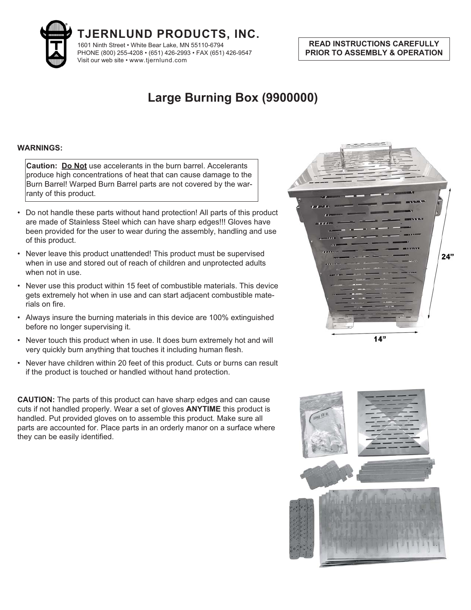

## **READ INSTRUCTIONS CAREFULLY PRIOR TO ASSEMBLY & OPERATION PRIOR TO ASSEMBLY & OPERATION**

## **Large Burning Box (9900000)**

**Caution: Do Not** use accelerants in the burn barrel. Accelerants produce high concentrations of heat that can cause damage to the Burn Barrel! Warped Burn Barrel parts are not covered by the warranty of this product.

- Do not handle these parts without hand protection! All parts of this product are made of Stainless Steel which can have sharp edges!!! Gloves have been provided for the user to wear during the assembly, handling and use of this product.
- Never leave this product unattended! This product must be supervised when in use and stored out of reach of children and unprotected adults when not in use.
- Never use this product within 15 feet of combustible materials. This device gets extremely hot when in use and can start adjacent combustible materials on fire.
- Always insure the burning materials in this device are 100% extinguished before no longer supervising it.
- Never touch this product when in use. It does burn extremely hot and will very quickly burn anything that touches it including human flesh.
- Never have children within 20 feet of this product. Cuts or burns can result if the product is touched or handled without hand protection.

**CAUTION:** The parts of this product can have sharp edges and can cause cuts if not handled properly. Wear a set of gloves **ANYTIME** this product is handled. Put provided gloves on to assemble this product. Make sure all parts are accounted for. Place parts in an orderly manor on a surface where they can be easily identified.



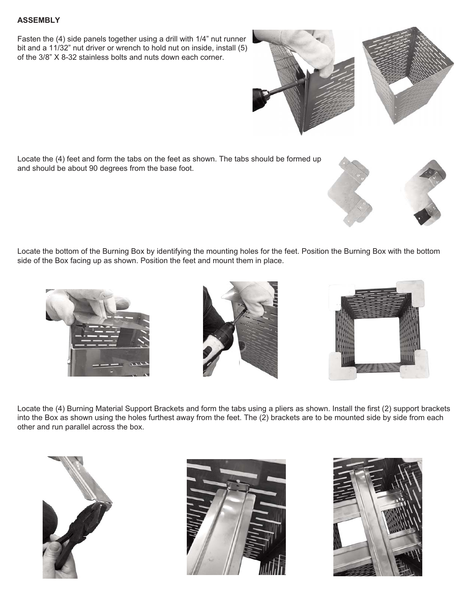Fasten the (4) side panels together using a drill with 1/4" nut runner bit and a 11/32" nut driver or wrench to hold nut on inside, install (5) of the 3/8" X 8-32 stainless bolts and nuts down each corner.

Locate the (4) feet and form the tabs on the feet as shown. The tabs should be formed up and should be about 90 degrees from the base foot.

Locate the bottom of the Burning Box by identifying the mounting holes for the feet. Position the Burning Box with the bottom side of the Box facing up as shown. Position the feet and mount them in place.

Locate the (4) Burning Material Support Brackets and form the tabs using a pliers as shown. Install the first (2) support brackets into the Box as shown using the holes furthest away from the feet. The (2) brackets are to be mounted side by side from each other and run parallel across the box.